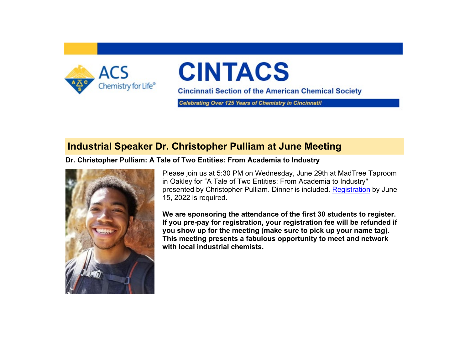

# **CINTACS**

**Cincinnati Section of the American Chemical Society** 

**Celebrating Over 125 Years of Chemistry in Cincinnatil** 

# **Industrial Speaker Dr. Christopher Pulliam at June Meeting**

#### **Dr. Christopher Pulliam: A Tale of Two Entities: From Academia to Industry**



Please join us at 5:30 PM on Wednesday, June 29th at MadTree Taproom in Oakley for "A Tale of Two Entities: From Academia to Industry" presented by Christopher Pulliam. Dinner is included. [Registration](https://www.acscincinnati.org/meetings/meetings.php?meeting=meeting20220629) by June 15, 2022 is required.

**We are sponsoring the attendance of the first 30 students to register. If you pre-pay for registration, your registration fee will be refunded if you show up for the meeting (make sure to pick up your name tag). This meeting presents a fabulous opportunity to meet and network with local industrial chemists.**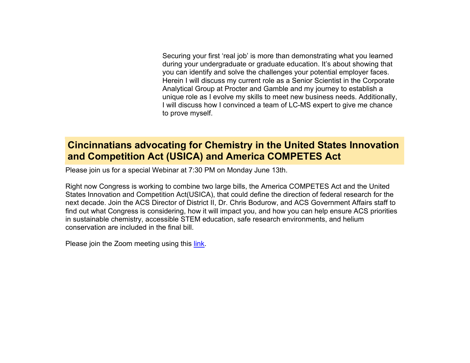Securing your first 'real job' is more than demonstrating what you learned during your undergraduate or graduate education. It's about showing that you can identify and solve the challenges your potential employer faces. Herein I will discuss my current role as a Senior Scientist in the Corporate Analytical Group at Procter and Gamble and my journey to establish a unique role as I evolve my skills to meet new business needs. Additionally, I will discuss how I convinced a team of LC-MS expert to give me chance to prove myself.

# **Cincinnatians advocating for Chemistry in the United States Innovation and Competition Act (USICA) and America COMPETES Act**

Please join us for a special Webinar at 7:30 PM on Monday June 13th.

Right now Congress is working to combine two large bills, the America COMPETES Act and the United States Innovation and Competition Act(USICA), that could define the direction of federal research for the next decade. Join the ACS Director of District II, Dr. Chris Bodurow, and ACS Government Affairs staff to find out what Congress is considering, how it will impact you, and how you can help ensure ACS priorities in sustainable chemistry, accessible STEM education, safe research environments, and helium conservation are included in the final bill.

Please join the Zoom meeting using this [link.](https://american-chemical-society.zoom.com/j/83524325842?pwd=VDBkd3hRSDNZUTlDbHJLQy80TTRqZz09)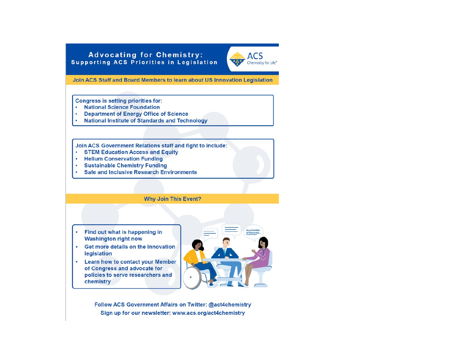#### **Advocating for Chemistry: Supporting ACS Priorities in Legislation**



Join ACS Staff and Board Members to learn about US Innovation Legislation

**Congress is setting priorities for:** 

- National Science Foundation
- Department of Energy Office of Science
- **National Institute of Standards and Technology**  $\bullet$

Join ACS Government Relations staff and fight to include:

- STEM Education Access and Equity
- Helium Conservation Funding
- Sustainable Chemistry Funding
- **Safe and Inclusive Research Environments**  $\bullet$

**Why Join This Event?** 

- Find out what is happening in **Washington right now**
- Get more details on the Innovation legislation
- **Learn how to contact your Member**  $\bullet$ of Congress and advocate for policies to serve researchers and chemistry



Follow ACS Government Affairs on Twitter: @act4chemistry Sign up for our newsletter: www.acs.org/act4chemistry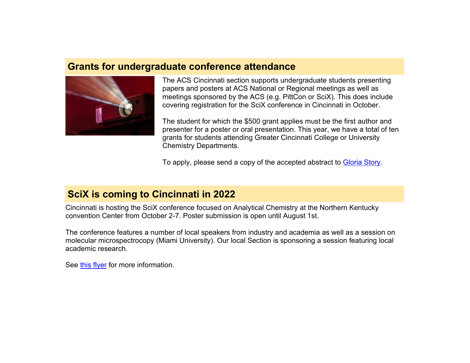## **Grants for undergraduate conference attendance**



The ACS Cincinnati section supports undergraduate students presenting papers and posters at ACS National or Regional meetings as well as meetings sponsored by the ACS (e.g. PittCon or SciX). This does include covering registration for the SciX conference in Cincinnati in October.

The student for which the \$500 grant applies must be the first author and presenter for a poster or oral presentation. This year, we have a total of ten grants for students attending Greater Cincinnati College or University Chemistry Departments.

To apply, please send a copy of the accepted abstract to [Gloria Story.](mailto:story.gm@pg.com)

# **SciX is coming to Cincinnati in 2022**

Cincinnati is hosting the SciX conference focused on Analytical Chemistry at the Northern Kentucky convention Center from October 2-7. Poster submission is open until August 1st.

The conference features a number of local speakers from industry and academia as well as a session on molecular microspectrocopy (Miami University). Our local Section is sponsoring a session featuring local academic research.

See [this flyer](https://www.acscincinnati.org/main/images/scix_info_2022.pdf) for more information.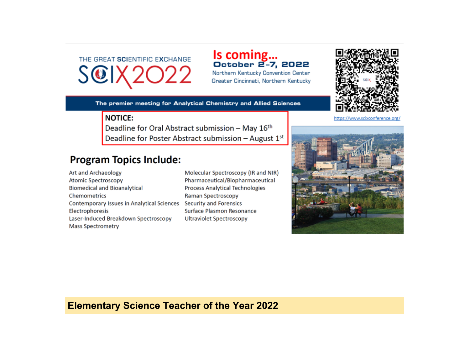THE GREAT SCIENTIFIC EXCHANGE SCIX2

Is coming...<br>October 2-7, 2022 Northern Kentucky Convention Center

Greater Cincinnati, Northern Kentucky

The premier meeting for Analytical Chemistry and Allied Sciences

#### **NOTICE:**

Deadline for Oral Abstract submission - May 16th Deadline for Poster Abstract submission - August 1st

# **Program Topics Include:**

Art and Archaeology Atomic Spectroscopy **Biomedical and Bioanalytical** Chemometrics Contemporary Issues in Analytical Sciences Security and Forensics Electrophoresis Laser-Induced Breakdown Spectroscopy **Mass Spectrometry** 

Molecular Spectroscopy (IR and NIR) Pharmaceutical/Biopharmaceutical **Process Analytical Technologies** Raman Spectroscopy Surface Plasmon Resonance **Ultraviolet Spectroscopy** 



https://www.scixconference.org/



## **Elementary Science Teacher of the Year 2022**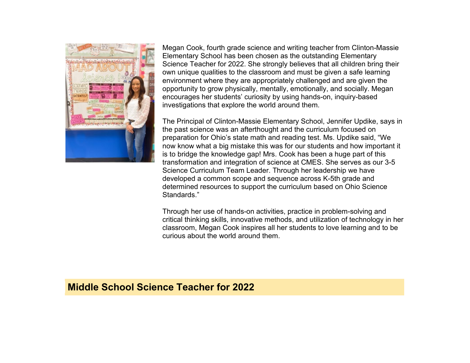

Megan Cook, fourth grade science and writing teacher from Clinton-Massie Elementary School has been chosen as the outstanding Elementary Science Teacher for 2022. She strongly believes that all children bring their own unique qualities to the classroom and must be given a safe learning environment where they are appropriately challenged and are given the opportunity to grow physically, mentally, emotionally, and socially. Megan encourages her students' curiosity by using hands-on, inquiry-based investigations that explore the world around them.

The Principal of Clinton-Massie Elementary School, Jennifer Updike, says in the past science was an afterthought and the curriculum focused on preparation for Ohio's state math and reading test. Ms. Updike said, "We now know what a big mistake this was for our students and how important it is to bridge the knowledge gap! Mrs. Cook has been a huge part of this transformation and integration of science at CMES. She serves as our 3-5 Science Curriculum Team Leader. Through her leadership we have developed a common scope and sequence across K-5th grade and determined resources to support the curriculum based on Ohio Science Standards."

Through her use of hands-on activities, practice in problem-solving and critical thinking skills, innovative methods, and utilization of technology in her classroom, Megan Cook inspires all her students to love learning and to be curious about the world around them.

### **Middle School Science Teacher for 2022**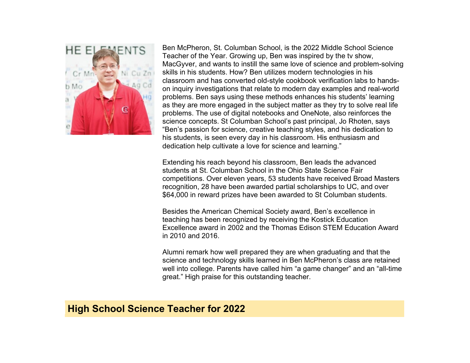

Ben McPheron, St. Columban School, is the 2022 Middle School Science Teacher of the Year. Growing up, Ben was inspired by the tv show, MacGyver, and wants to instill the same love of science and problem-solving skills in his students. How? Ben utilizes modern technologies in his classroom and has converted old-style cookbook verification labs to handson inquiry investigations that relate to modern day examples and real-world problems. Ben says using these methods enhances his students' learning as they are more engaged in the subject matter as they try to solve real life problems. The use of digital notebooks and OneNote, also reinforces the science concepts. St Columban School's past principal, Jo Rhoten, says "Ben's passion for science, creative teaching styles, and his dedication to his students, is seen every day in his classroom. His enthusiasm and dedication help cultivate a love for science and learning."

Extending his reach beyond his classroom, Ben leads the advanced students at St. Columban School in the Ohio State Science Fair competitions. Over eleven years, 53 students have received Broad Masters recognition, 28 have been awarded partial scholarships to UC, and over \$64,000 in reward prizes have been awarded to St Columban students.

Besides the American Chemical Society award, Ben's excellence in teaching has been recognized by receiving the Kostick Education Excellence award in 2002 and the Thomas Edison STEM Education Award in 2010 and 2016.

Alumni remark how well prepared they are when graduating and that the science and technology skills learned in Ben McPheron's class are retained well into college. Parents have called him "a game changer" and an "all-time great." High praise for this outstanding teacher.

## **High School Science Teacher for 2022**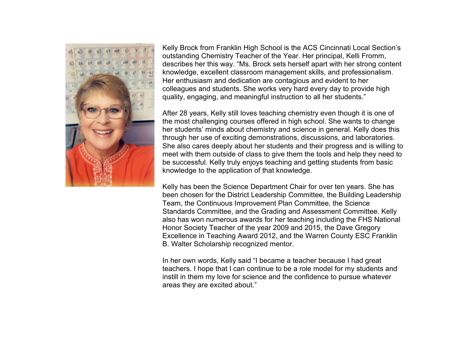

Kelly Brock from Franklin High School is the ACS Cincinnati Local Section's outstanding Chemistry Teacher of the Year. Her principal, Kelli Fromm, describes her this way. "Ms. Brock sets herself apart with her strong content knowledge, excellent classroom management skills, and professionalism. Her enthusiasm and dedication are contagious and evident to her colleagues and students. She works very hard every day to provide high quality, engaging, and meaningful instruction to all her students."

After 28 years, Kelly still loves teaching chemistry even though it is one of the most challenging courses offered in high school. She wants to change her students' minds about chemistry and science in general. Kelly does this through her use of exciting demonstrations, discussions, and laboratories. She also cares deeply about her students and their progress and is willing to meet with them outside of class to give them the tools and help they need to be successful. Kelly truly enjoys teaching and getting students from basic knowledge to the application of that knowledge.

Kelly has been the Science Department Chair for over ten years. She has been chosen for the District Leadership Committee, the Building Leadership Team, the Continuous Improvement Plan Committee, the Science Standards Committee, and the Grading and Assessment Committee. Kelly also has won numerous awards for her teaching including the FHS National Honor Society Teacher of the year 2009 and 2015, the Dave Gregory Excellence in Teaching Award 2012, and the Warren County ESC Franklin B. Walter Scholarship recognized mentor.

In her own words, Kelly said "I became a teacher because I had great teachers. I hope that I can continue to be a role model for my students and instill in them my love for science and the confidence to pursue whatever areas they are excited about."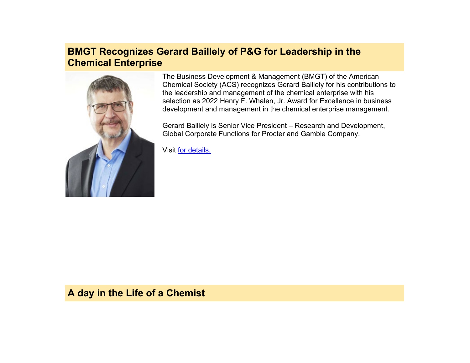# **BMGT Recognizes Gerard Baillely of P&G for Leadership in the Chemical Enterprise**



The Business Development & Management (BMGT) of the American Chemical Society (ACS) recognizes Gerard Baillely for his contributions to the leadership and management of the chemical enterprise with his selection as 2022 Henry F. Whalen, Jr. Award for Excellence in business development and management in the chemical enterprise management.

Gerard Baillely is Senior Vice President – Research and Development, Global Corporate Functions for Procter and Gamble Company.

Visit [for details.](https://bmgt.org/awards/) 

### **A day in the Life of a Chemist**